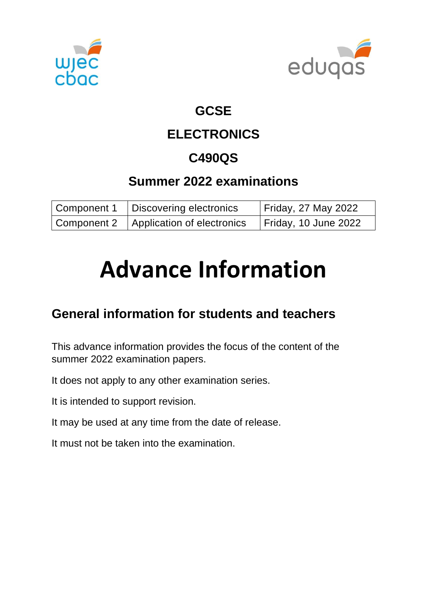



### **GCSE**

# **ELECTRONICS**

# **C490QS**

## **Summer 2022 examinations**

| Component 1   Discovering electronics    | <b>Friday, 27 May 2022</b>  |
|------------------------------------------|-----------------------------|
| Component 2   Application of electronics | <b>Friday, 10 June 2022</b> |

# **Advance Information**

# **General information for students and teachers**

This advance information provides the focus of the content of the summer 2022 examination papers.

It does not apply to any other examination series.

It is intended to support revision.

It may be used at any time from the date of release.

It must not be taken into the examination.